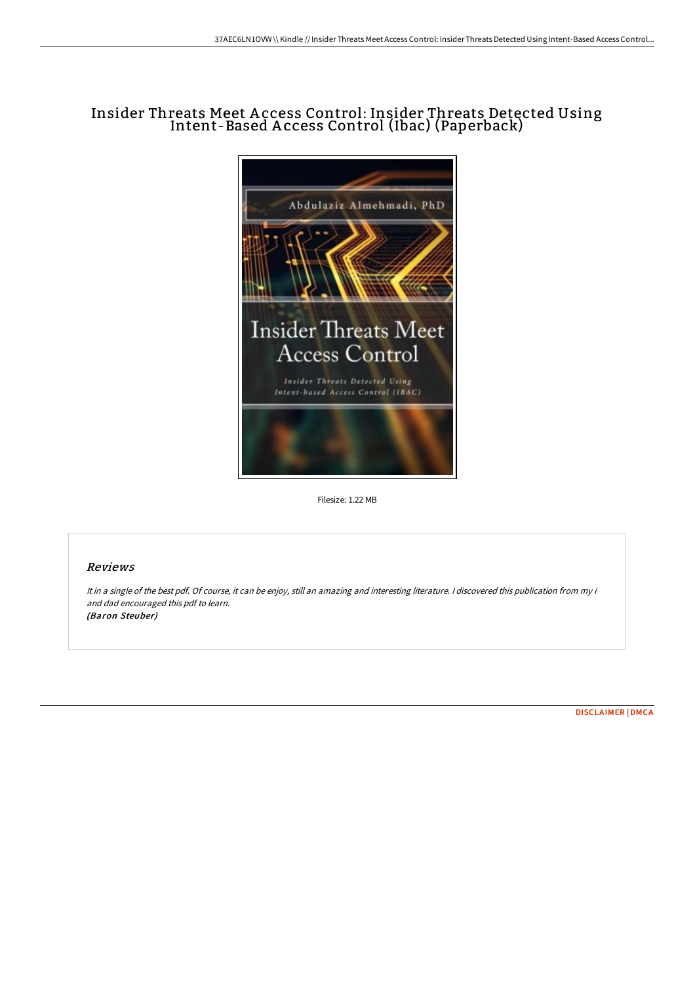## Insider Threats Meet A ccess Control: Insider Threats Detected Using Intent-Based A ccess Control (Ibac) (Paperback)



Filesize: 1.22 MB

## Reviews

It in <sup>a</sup> single of the best pdf. Of course, it can be enjoy, still an amazing and interesting literature. <sup>I</sup> discovered this publication from my i and dad encouraged this pdf to learn. (Baron Steuber)

[DISCLAIMER](http://techno-pub.tech/disclaimer.html) | [DMCA](http://techno-pub.tech/dmca.html)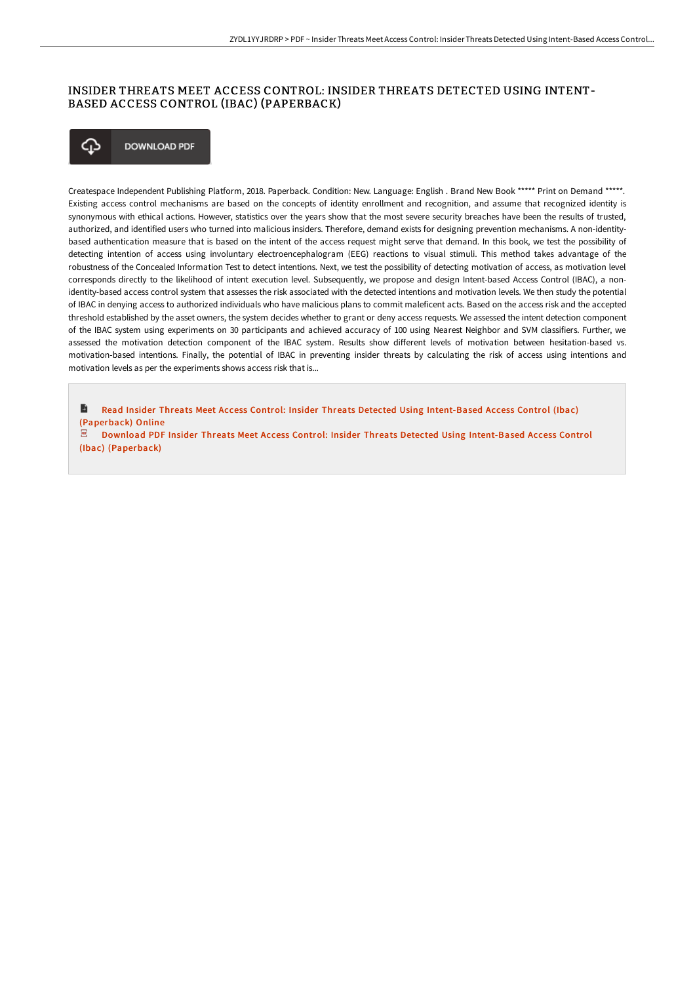## INSIDER THREATS MEET ACCESS CONTROL: INSIDER THREATS DETECTED USING INTENT-BASED ACCESS CONTROL (IBAC) (PAPERBACK)



**DOWNLOAD PDF** 

Createspace Independent Publishing Platform, 2018. Paperback. Condition: New. Language: English . Brand New Book \*\*\*\*\* Print on Demand \*\*\*\*\*. Existing access control mechanisms are based on the concepts of identity enrollment and recognition, and assume that recognized identity is synonymous with ethical actions. However, statistics over the years show that the most severe security breaches have been the results of trusted, authorized, and identified users who turned into malicious insiders. Therefore, demand exists for designing prevention mechanisms. A non-identitybased authentication measure that is based on the intent of the access request might serve that demand. In this book, we test the possibility of detecting intention of access using involuntary electroencephalogram (EEG) reactions to visual stimuli. This method takes advantage of the robustness of the Concealed Information Test to detect intentions. Next, we test the possibility of detecting motivation of access, as motivation level corresponds directly to the likelihood of intent execution level. Subsequently, we propose and design Intent-based Access Control (IBAC), a nonidentity-based access control system that assesses the risk associated with the detected intentions and motivation levels. We then study the potential of IBAC in denying access to authorized individuals who have malicious plans to commit maleficent acts. Based on the access risk and the accepted threshold established by the asset owners, the system decides whether to grant or deny access requests. We assessed the intent detection component of the IBAC system using experiments on 30 participants and achieved accuracy of 100 using Nearest Neighbor and SVM classifiers. Further, we assessed the motivation detection component of the IBAC system. Results show different levels of motivation between hesitation-based vs. motivation-based intentions. Finally, the potential of IBAC in preventing insider threats by calculating the risk of access using intentions and motivation levels as per the experiments shows access risk that is...

Ð Read Insider Threats Meet Access Control: Insider Threats Detected Using [Intent-Based](http://techno-pub.tech/insider-threats-meet-access-control-insider-thre.html) Access Control (Ibac) (Paperback) Online

PDF. Download PDF Insider Threats Meet Access Control: Insider Threats Detected Using [Intent-Based](http://techno-pub.tech/insider-threats-meet-access-control-insider-thre.html) Access Control (Ibac) (Paperback)